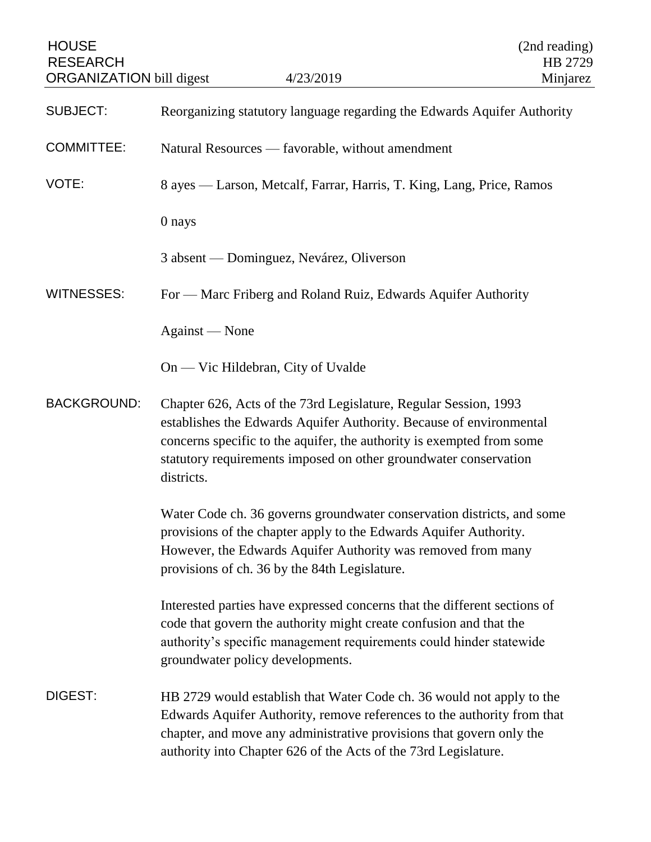| <b>HOUSE</b><br><b>RESEARCH</b><br><b>ORGANIZATION</b> bill digest | 4/23/2019                                                                                                                                                                                                                                                                                          | (2nd reading)<br>HB 2729<br>Minjarez |
|--------------------------------------------------------------------|----------------------------------------------------------------------------------------------------------------------------------------------------------------------------------------------------------------------------------------------------------------------------------------------------|--------------------------------------|
| <b>SUBJECT:</b>                                                    | Reorganizing statutory language regarding the Edwards Aquifer Authority                                                                                                                                                                                                                            |                                      |
| <b>COMMITTEE:</b>                                                  | Natural Resources — favorable, without amendment                                                                                                                                                                                                                                                   |                                      |
| VOTE:                                                              | 8 ayes — Larson, Metcalf, Farrar, Harris, T. King, Lang, Price, Ramos                                                                                                                                                                                                                              |                                      |
|                                                                    | 0 nays                                                                                                                                                                                                                                                                                             |                                      |
|                                                                    | 3 absent — Dominguez, Nevárez, Oliverson                                                                                                                                                                                                                                                           |                                      |
| <b>WITNESSES:</b>                                                  | For — Marc Friberg and Roland Ruiz, Edwards Aquifer Authority                                                                                                                                                                                                                                      |                                      |
|                                                                    | Against - None                                                                                                                                                                                                                                                                                     |                                      |
|                                                                    | On — Vic Hildebran, City of Uvalde                                                                                                                                                                                                                                                                 |                                      |
| <b>BACKGROUND:</b>                                                 | Chapter 626, Acts of the 73rd Legislature, Regular Session, 1993<br>establishes the Edwards Aquifer Authority. Because of environmental<br>concerns specific to the aquifer, the authority is exempted from some<br>statutory requirements imposed on other groundwater conservation<br>districts. |                                      |
|                                                                    | Water Code ch. 36 governs groundwater conservation districts, and some<br>provisions of the chapter apply to the Edwards Aquifer Authority.<br>However, the Edwards Aquifer Authority was removed from many<br>provisions of ch. 36 by the 84th Legislature.                                       |                                      |
|                                                                    | Interested parties have expressed concerns that the different sections of<br>code that govern the authority might create confusion and that the<br>authority's specific management requirements could hinder statewide<br>groundwater policy developments.                                         |                                      |
| <b>DIGEST:</b>                                                     | HB 2729 would establish that Water Code ch. 36 would not apply to the<br>Edwards Aquifer Authority, remove references to the authority from that<br>chapter, and move any administrative provisions that govern only the<br>authority into Chapter 626 of the Acts of the 73rd Legislature.        |                                      |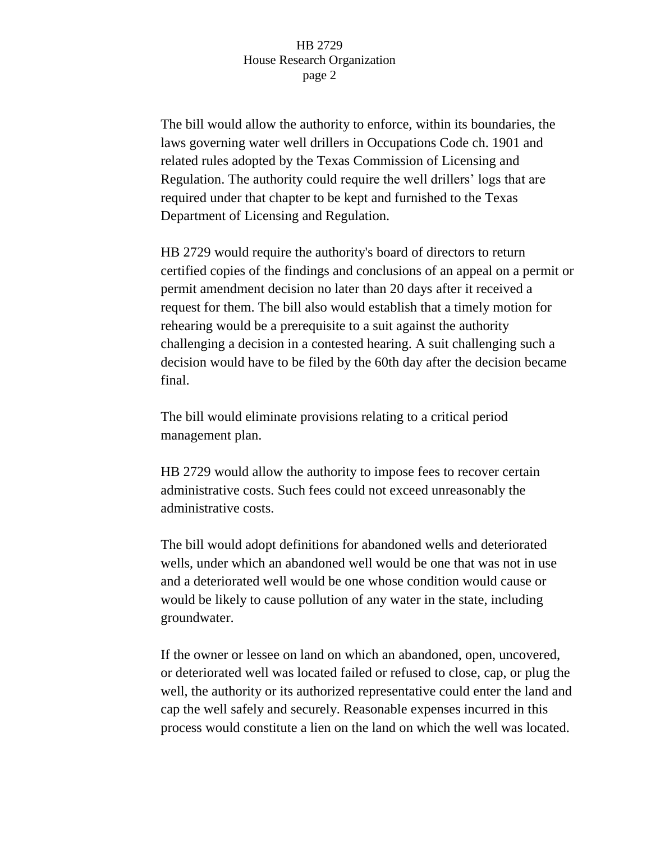## HB 2729 House Research Organization page 2

The bill would allow the authority to enforce, within its boundaries, the laws governing water well drillers in Occupations Code ch. 1901 and related rules adopted by the Texas Commission of Licensing and Regulation. The authority could require the well drillers' logs that are required under that chapter to be kept and furnished to the Texas Department of Licensing and Regulation.

HB 2729 would require the authority's board of directors to return certified copies of the findings and conclusions of an appeal on a permit or permit amendment decision no later than 20 days after it received a request for them. The bill also would establish that a timely motion for rehearing would be a prerequisite to a suit against the authority challenging a decision in a contested hearing. A suit challenging such a decision would have to be filed by the 60th day after the decision became final.

The bill would eliminate provisions relating to a critical period management plan.

HB 2729 would allow the authority to impose fees to recover certain administrative costs. Such fees could not exceed unreasonably the administrative costs.

The bill would adopt definitions for abandoned wells and deteriorated wells, under which an abandoned well would be one that was not in use and a deteriorated well would be one whose condition would cause or would be likely to cause pollution of any water in the state, including groundwater.

If the owner or lessee on land on which an abandoned, open, uncovered, or deteriorated well was located failed or refused to close, cap, or plug the well, the authority or its authorized representative could enter the land and cap the well safely and securely. Reasonable expenses incurred in this process would constitute a lien on the land on which the well was located.